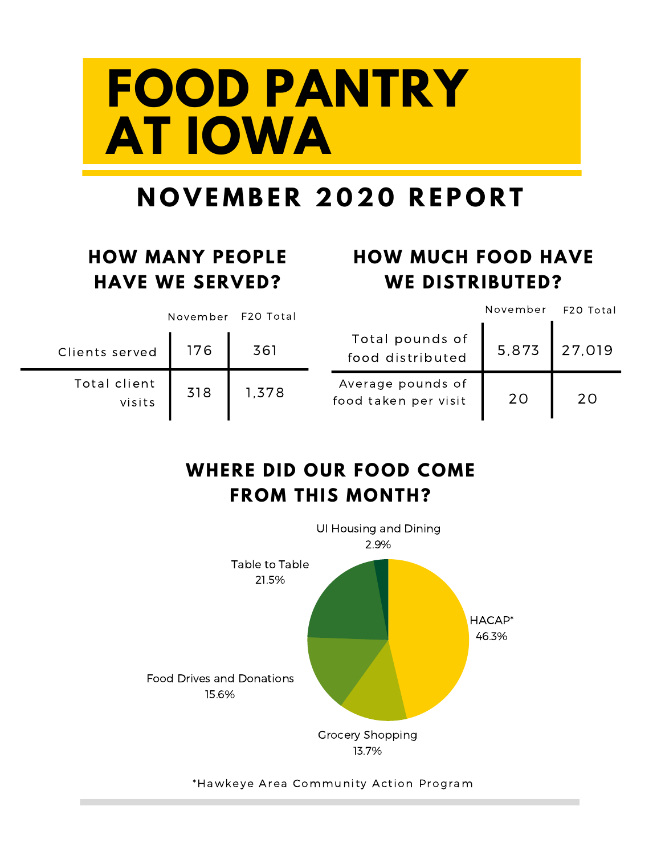# **FOOD PANTRY AT IOWA**

### **N O V E M B E R 2 0 2 0 R E P O R T**

#### **HOW MANY PEOPLE HAVE WE SERVED?**

### **HOW MUCH FOOD HAVE WE DISTRIBUTED?**

|                        | November | F2O Total |                                           | November | F20 Total |
|------------------------|----------|-----------|-------------------------------------------|----------|-----------|
| Clients served         | 176      | 361       | Total pounds of<br>food distributed       | 5,873    | 27,019    |
| Total client<br>visits | 318      | 1,378     | Average pounds of<br>food taken per visit | 20       | 20        |

#### **WHERE DID OUR FOOD COME FROM THIS MONTH?**



#### \*Hawkeye Area Community Action Program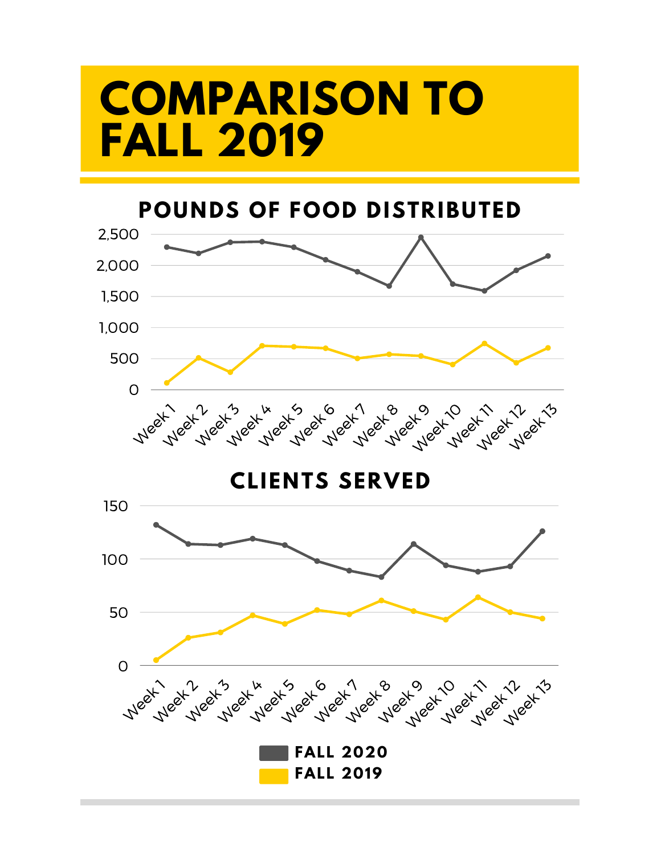## **COMPARISON TO FALL 2019**